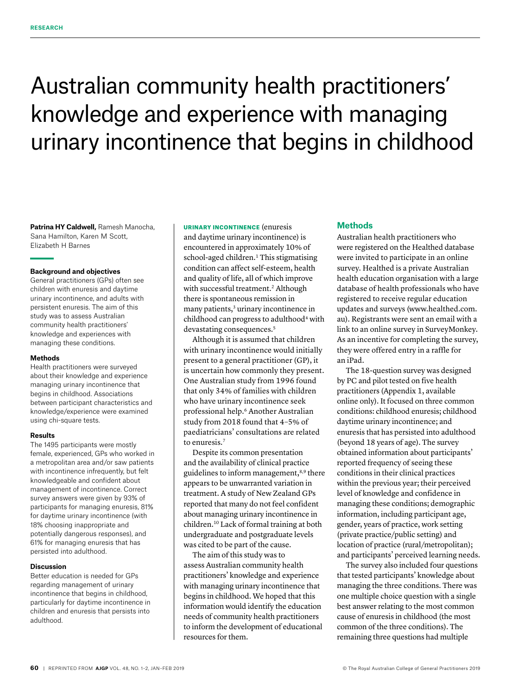# Australian community health practitioners' knowledge and experience with managing urinary incontinence that begins in childhood

**Patrina HY Caldwell,** Ramesh Manocha, Sana Hamilton, Karen M Scott, Elizabeth H Barnes

#### **Background and objectives**

General practitioners (GPs) often see children with enuresis and daytime urinary incontinence, and adults with persistent enuresis. The aim of this study was to assess Australian community health practitioners' knowledge and experiences with managing these conditions.

#### **Methods**

Health practitioners were surveyed about their knowledge and experience managing urinary incontinence that begins in childhood. Associations between participant characteristics and knowledge/experience were examined using chi-square tests.

#### **Results**

The 1495 participants were mostly female, experienced, GPs who worked in a metropolitan area and/or saw patients with incontinence infrequently, but felt knowledgeable and confident about management of incontinence. Correct survey answers were given by 93% of participants for managing enuresis, 81% for daytime urinary incontinence (with 18% choosing inappropriate and potentially dangerous responses), and 61% for managing enuresis that has persisted into adulthood.

## **Discussion**

Better education is needed for GPs regarding management of urinary incontinence that begins in childhood, particularly for daytime incontinence in children and enuresis that persists into adulthood.

#### URINARY INCONTINENCE (enuresis

and daytime urinary incontinence) is encountered in approximately 10% of school-aged children.<sup>1</sup> This stigmatising condition can affect self-esteem, health and quality of life, all of which improve with successful treatment.<sup>2</sup> Although there is spontaneous remission in many patients,<sup>3</sup> urinary incontinence in childhood can progress to adulthood<sup>4</sup> with devastating consequences.<sup>5</sup>

Although it is assumed that children with urinary incontinence would initially present to a general practitioner (GP), it is uncertain how commonly they present. One Australian study from 1996 found that only 34% of families with children who have urinary incontinence seek professional help.6 Another Australian study from 2018 found that 4–5% of paediatricians' consultations are related to enuresis.7

Despite its common presentation and the availability of clinical practice guidelines to inform management,<sup>8,9</sup> there appears to be unwarranted variation in treatment. A study of New Zealand GPs reported that many do not feel confident about managing urinary incontinence in children.10 Lack of formal training at both undergraduate and postgraduate levels was cited to be part of the cause.

The aim of this study was to assess Australian community health practitioners' knowledge and experience with managing urinary incontinence that begins in childhood. We hoped that this information would identify the education needs of community health practitioners to inform the development of educational resources for them.

## **Methods**

Australian health practitioners who were registered on the Healthed database were invited to participate in an online survey. Healthed is a private Australian health education organisation with a large database of health professionals who have registered to receive regular education updates and surveys (www.healthed.com. au). Registrants were sent an email with a link to an online survey in SurveyMonkey. As an incentive for completing the survey, they were offered entry in a raffle for an iPad.

The 18-question survey was designed by PC and pilot tested on five health practitioners (Appendix 1, available online only). It focused on three common conditions: childhood enuresis; childhood daytime urinary incontinence; and enuresis that has persisted into adulthood (beyond 18 years of age). The survey obtained information about participants' reported frequency of seeing these conditions in their clinical practices within the previous year; their perceived level of knowledge and confidence in managing these conditions; demographic information, including participant age, gender, years of practice, work setting (private practice/public setting) and location of practice (rural/metropolitan); and participants' perceived learning needs.

The survey also included four questions that tested participants' knowledge about managing the three conditions. There was one multiple choice question with a single best answer relating to the most common cause of enuresis in childhood (the most common of the three conditions). The remaining three questions had multiple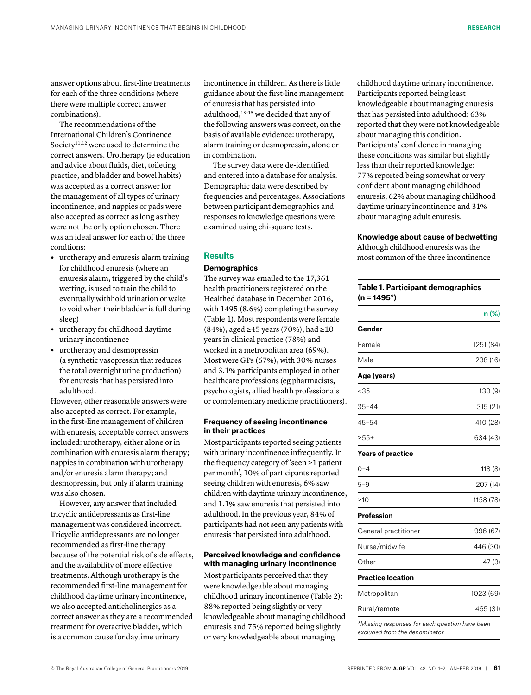answer options about first-line treatments for each of the three conditions (where there were multiple correct answer combinations).

The recommendations of the International Children's Continence Society<sup>11,12</sup> were used to determine the correct answers. Urotherapy (ie education and advice about fluids, diet, toileting practice, and bladder and bowel habits) was accepted as a correct answer for the management of all types of urinary incontinence, and nappies or pads were also accepted as correct as long as they were not the only option chosen. There was an ideal answer for each of the three condtions:

- **•** urotherapy and enuresis alarm training for childhood enuresis (where an enuresis alarm, triggered by the child's wetting, is used to train the child to eventually withhold urination or wake to void when their bladder is full during sleep)
- **•** urotherapy for childhood daytime urinary incontinence
- **•** urotherapy and desmopressin (a synthetic vasopressin that reduces the total overnight urine production) for enuresis that has persisted into adulthood.

However, other reasonable answers were also accepted as correct. For example, in the first-line management of children with enuresis, acceptable correct answers included: urotherapy, either alone or in combination with enuresis alarm therapy; nappies in combination with urotherapy and/or enuresis alarm therapy; and desmopressin, but only if alarm training was also chosen.

However, any answer that included tricyclic antidepressants as first-line management was considered incorrect. Tricyclic antidepressants are no longer recommended as first-line therapy because of the potential risk of side effects, and the availability of more effective treatments. Although urotherapy is the recommended first-line management for childhood daytime urinary incontinence, we also accepted anticholinergics as a correct answer as they are a recommended treatment for overactive bladder, which is a common cause for daytime urinary

incontinence in children. As there is little guidance about the first-line management of enuresis that has persisted into adulthood,13–15 we decided that any of the following answers was correct, on the basis of available evidence: urotherapy, alarm training or desmopressin, alone or in combination.

The survey data were de-identified and entered into a database for analysis. Demographic data were described by frequencies and percentages. Associations between participant demographics and responses to knowledge questions were examined using chi-square tests.

## **Results**

## **Demographics**

The survey was emailed to the 17,361 health practitioners registered on the Healthed database in December 2016, with 1495 (8.6%) completing the survey (Table 1). Most respondents were female (84%), aged ≥45 years (70%), had ≥10 years in clinical practice (78%) and worked in a metropolitan area (69%). Most were GPs (67%), with 30% nurses and 3.1% participants employed in other healthcare professions (eg pharmacists, psychologists, allied health professionals or complementary medicine practitioners).

#### **Frequency of seeing incontinence in their practices**

Most participants reported seeing patients with urinary incontinence infrequently. In the frequency category of 'seen ≥1 patient per month', 10% of participants reported seeing children with enuresis, 6% saw children with daytime urinary incontinence, and 1.1% saw enuresis that persisted into adulthood. In the previous year, 84% of participants had not seen any patients with enuresis that persisted into adulthood.

## **Perceived knowledge and confidence with managing urinary incontinence**

Most participants perceived that they were knowledgeable about managing childhood urinary incontinence (Table 2): 88% reported being slightly or very knowledgeable about managing childhood enuresis and 75% reported being slightly or very knowledgeable about managing

childhood daytime urinary incontinence. Participants reported being least knowledgeable about managing enuresis that has persisted into adulthood: 63% reported that they were not knowledgeable about managing this condition. Participants' confidence in managing these conditions was similar but slightly less than their reported knowledge: 77% reported being somewhat or very confident about managing childhood enuresis, 62% about managing childhood daytime urinary incontinence and 31% about managing adult enuresis.

#### **Knowledge about cause of bedwetting**

Although childhood enuresis was the most common of the three incontinence

## **Table 1. Participant demographics (n = 1495\*)**

|                                                | n (%)     |
|------------------------------------------------|-----------|
| Gender                                         |           |
| Female                                         | 1251 (84) |
| Male                                           | 238 (16)  |
| Age (years)                                    |           |
| < 35                                           | 130 (9)   |
| $35 - 44$                                      | 315 (21)  |
| $45 - 54$                                      | 410 (28)  |
| $>55+$                                         | 634 (43)  |
| <b>Years of practice</b>                       |           |
| $0 - 4$                                        | 118 (8)   |
| $5 - 9$                                        | 207 (14)  |
| >10                                            | 1158 (78) |
| Profession                                     |           |
| General practitioner                           | 996 (67)  |
| Nurse/midwife                                  | 446 (30)  |
| Other                                          | 47 (3)    |
| <b>Practice location</b>                       |           |
| Metropolitan                                   | 1023 (69) |
| Rural/remote                                   | 465 (31)  |
| *Missina responses for each auestion have been |           |

*excluded from the denominator*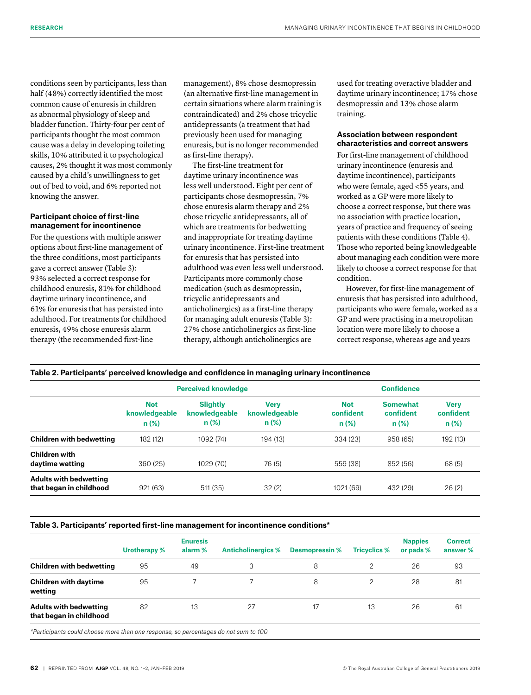conditions seen by participants, less than half (48%) correctly identified the most common cause of enuresis in children as abnormal physiology of sleep and bladder function. Thirty-four per cent of participants thought the most common cause was a delay in developing toileting skills, 10% attributed it to psychological causes, 2% thought it was most commonly caused by a child's unwillingness to get out of bed to void, and 6% reported not knowing the answer.

## **Participant choice of first-line management for incontinence**

For the questions with multiple answer options about first-line management of the three conditions, most participants gave a correct answer (Table 3): 93% selected a correct response for childhood enuresis, 81% for childhood daytime urinary incontinence, and 61% for enuresis that has persisted into adulthood. For treatments for childhood enuresis, 49% chose enuresis alarm therapy (the recommended first-line

management), 8% chose desmopressin (an alternative first-line management in certain situations where alarm training is contraindicated) and 2% chose tricyclic antidepressants (a treatment that had previously been used for managing enuresis, but is no longer recommended as first-line therapy).

The first-line treatment for daytime urinary incontinence was less well understood. Eight per cent of participants chose desmopressin, 7% chose enuresis alarm therapy and 2% chose tricyclic antidepressants, all of which are treatments for bedwetting and inappropriate for treating daytime urinary incontinence. First-line treatment for enuresis that has persisted into adulthood was even less well understood. Participants more commonly chose medication (such as desmopressin, tricyclic antidepressants and anticholinergics) as a first-line therapy for managing adult enuresis (Table 3): 27% chose anticholinergics as first-line therapy, although anticholinergics are

used for treating overactive bladder and daytime urinary incontinence; 17% chose desmopressin and 13% chose alarm training.

## **Association between respondent characteristics and correct answers**

For first-line management of childhood urinary incontinence (enuresis and daytime incontinence), participants who were female, aged <55 years, and worked as a GP were more likely to choose a correct response, but there was no association with practice location, years of practice and frequency of seeing patients with these conditions (Table 4). Those who reported being knowledgeable about managing each condition were more likely to choose a correct response for that condition.

However, for first-line management of enuresis that has persisted into adulthood, participants who were female, worked as a GP and were practising in a metropolitan location were more likely to choose a correct response, whereas age and years

| Table 2. Participants' perceived knowledge and confidence in managing urinary incontinence |  |  |  |
|--------------------------------------------------------------------------------------------|--|--|--|
|                                                                                            |  |  |  |

|                                                          | <b>Perceived knowledge</b>             |                                             |                                         | <b>Confidence</b>                   |                                          |                                      |  |
|----------------------------------------------------------|----------------------------------------|---------------------------------------------|-----------------------------------------|-------------------------------------|------------------------------------------|--------------------------------------|--|
|                                                          | <b>Not</b><br>knowledgeable<br>$n$ (%) | <b>Slightly</b><br>knowledgeable<br>$n$ (%) | <b>Verv</b><br>knowledgeable<br>$n$ (%) | <b>Not</b><br>confident<br>$n (\%)$ | <b>Somewhat</b><br>confident<br>$n (\%)$ | <b>Verv</b><br>confident<br>$n (\%)$ |  |
| <b>Children with bedwetting</b>                          | 182 (12)                               | 1092 (74)                                   | 194 (13)                                | 334 (23)                            | 958 (65)                                 | 192 (13)                             |  |
| <b>Children with</b><br>daytime wetting                  | 360 (25)                               | 1029 (70)                                   | 76 (5)                                  | 559 (38)                            | 852 (56)                                 | 68 (5)                               |  |
| <b>Adults with bedwetting</b><br>that began in childhood | 921 (63)                               | 511 (35)                                    | 32(2)                                   | 1021 (69)                           | 432 (29)                                 | 26(2)                                |  |

#### **Table 3. Participants' reported first-line management for incontinence conditions\***

|                                                          | Urotherapy % | <b>Enuresis</b><br>alarm % | <b>Anticholinergics %</b> | <b>Desmopressin %</b> | <b>Tricyclics %</b> | <b>Nappies</b><br>or pads % | <b>Correct</b><br>answer % |
|----------------------------------------------------------|--------------|----------------------------|---------------------------|-----------------------|---------------------|-----------------------------|----------------------------|
| <b>Children with bedwetting</b>                          | 95           | 49                         | 3                         | 8                     | 2                   | 26                          | 93                         |
| <b>Children with daytime</b><br>wetting                  | 95           |                            |                           | 8                     |                     | 28                          | 81                         |
| <b>Adults with bedwetting</b><br>that began in childhood | 82           | 13                         | 27                        | 17                    | 13                  | 26                          | 61                         |

*\*Participants could choose more than one response, so percentages do not sum to 100*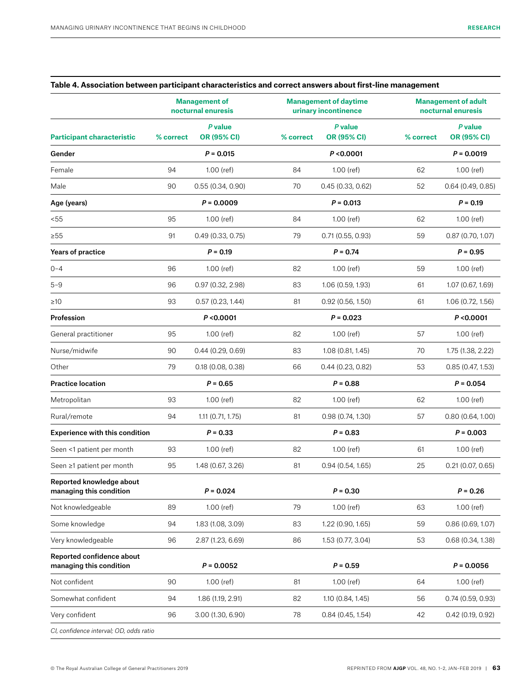|                                                      | <b>Management of</b><br>nocturnal enuresis |                               |           | <b>Management of daytime</b><br>urinary incontinence |           | <b>Management of adult</b><br>nocturnal enuresis |  |
|------------------------------------------------------|--------------------------------------------|-------------------------------|-----------|------------------------------------------------------|-----------|--------------------------------------------------|--|
| <b>Participant characteristic</b>                    | % correct                                  | P value<br><b>OR (95% CI)</b> | % correct | P value<br><b>OR (95% CI)</b>                        | % correct | P value<br><b>OR (95% CI)</b>                    |  |
| Gender                                               |                                            | $P = 0.015$                   |           | P < 0.0001                                           |           | $P = 0.0019$                                     |  |
| Female                                               | 94                                         | $1.00$ (ref)                  | 84        | 1.00 (ref)                                           | 62        | $1.00$ (ref)                                     |  |
| Male                                                 | 90                                         | 0.55(0.34, 0.90)              | 70        | 0.45(0.33, 0.62)                                     | 52        | 0.64(0.49, 0.85)                                 |  |
| Age (years)                                          |                                            | $P = 0.0009$                  |           | $P = 0.013$                                          |           | $P = 0.19$                                       |  |
| < 55                                                 | 95                                         | $1.00$ (ref)                  | 84        | $1.00$ (ref)                                         | 62        | $1.00$ (ref)                                     |  |
| $\geq 55$                                            | 91                                         | 0.49(0.33, 0.75)              | 79        | 0.71(0.55, 0.93)                                     | 59        | 0.87(0.70, 1.07)                                 |  |
| Years of practice                                    |                                            | $P = 0.19$                    |           | $P = 0.74$                                           |           | $P = 0.95$                                       |  |
| $0 - 4$                                              | 96                                         | $1.00$ (ref)                  | 82        | $1.00$ (ref)                                         | 59        | $1.00$ (ref)                                     |  |
| $5 - 9$                                              | 96                                         | 0.97(0.32, 2.98)              | 83        | 1.06 (0.59, 1.93)                                    | 61        | 1.07 (0.67, 1.69)                                |  |
| $\geq 10$                                            | 93                                         | 0.57(0.23, 1.44)              | 81        | $0.92$ (0.56, 1.50)                                  | 61        | 1.06 (0.72, 1.56)                                |  |
| Profession                                           |                                            | P < 0.0001                    |           | $P = 0.023$                                          |           | P < 0.0001                                       |  |
| General practitioner                                 | 95                                         | $1.00$ (ref)                  | 82        | 1.00 (ref)                                           | 57        | $1.00$ (ref)                                     |  |
| Nurse/midwife                                        | 90                                         | 0.44(0.29, 0.69)              | 83        | 1.08 (0.81, 1.45)                                    | 70        | 1.75 (1.38, 2.22)                                |  |
| Other                                                | 79                                         | 0.18(0.08, 0.38)              | 66        | 0.44(0.23, 0.82)                                     | 53        | 0.85(0.47, 1.53)                                 |  |
| <b>Practice location</b>                             |                                            | $P = 0.65$                    |           | $P = 0.88$                                           |           | $P = 0.054$                                      |  |
| Metropolitan                                         | 93                                         | $1.00$ (ref)                  | 82        | $1.00$ (ref)                                         | 62        | $1.00$ (ref)                                     |  |
| Rural/remote                                         | 94                                         | 1.11 (0.71, 1.75)             | 81        | 0.98(0.74, 1.30)                                     | 57        | 0.80(0.64, 1.00)                                 |  |
| <b>Experience with this condition</b>                |                                            | $P = 0.33$                    |           | $P = 0.83$                                           |           | $P = 0.003$                                      |  |
| Seen <1 patient per month                            | 93                                         | $1.00$ (ref)                  | 82        | $1.00$ (ref)                                         | 61        | $1.00$ (ref)                                     |  |
| Seen ≥1 patient per month                            | 95                                         | 1.48 (0.67, 3.26)             | 81        | 0.94(0.54, 1.65)                                     | 25        | 0.21(0.07, 0.65)                                 |  |
| Reported knowledge about<br>managing this condition  |                                            | $P = 0.024$                   |           | $P = 0.30$                                           |           | $P = 0.26$                                       |  |
| Not knowledgeable                                    | 89                                         | 1.00 (ref)                    | 79        | 1.00 (ref)                                           | 63        | 1.00 (ref)                                       |  |
| Some knowledge                                       | 94                                         | 1.83 (1.08, 3.09)             | 83        | 1.22 (0.90, 1.65)                                    | 59        | 0.86(0.69, 1.07)                                 |  |
| Very knowledgeable                                   | 96                                         | 2.87 (1.23, 6.69)             | 86        | 1.53 (0.77, 3.04)                                    | 53        | 0.68(0.34, 1.38)                                 |  |
| Reported confidence about<br>managing this condition |                                            | $P = 0.0052$                  |           | $P = 0.59$                                           |           | $P = 0.0056$                                     |  |
| Not confident                                        | 90                                         | $1.00$ (ref)                  | 81        | 1.00 (ref)                                           | 64        | $1.00$ (ref)                                     |  |
| Somewhat confident                                   | 94                                         | 1.86 (1.19, 2.91)             | 82        | 1.10 (0.84, 1.45)                                    | 56        | 0.74(0.59, 0.93)                                 |  |
| Very confident                                       | 96                                         | 3.00 (1.30, 6.90)             | 78        | 0.84(0.45, 1.54)                                     | 42        | $0.42$ (0.19, 0.92)                              |  |
| CI, confidence interval; OD, odds ratio              |                                            |                               |           |                                                      |           |                                                  |  |

## **Table 4. Association between participant characteristics and correct answers about first-line management**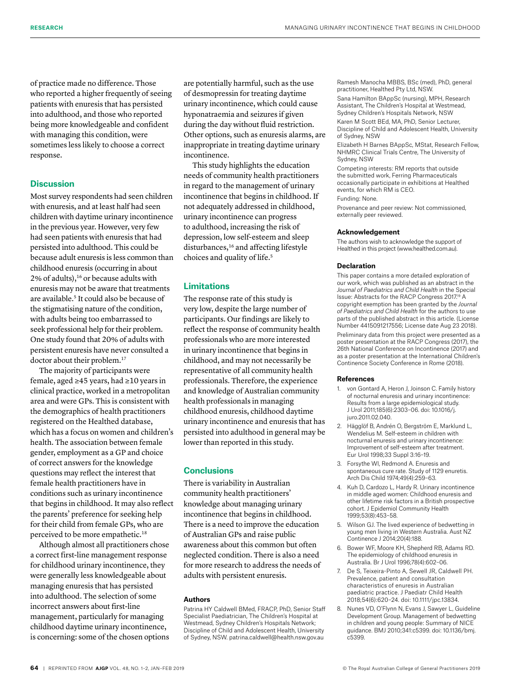of practice made no difference. Those who reported a higher frequently of seeing patients with enuresis that has persisted into adulthood, and those who reported being more knowledgeable and confident with managing this condition, were sometimes less likely to choose a correct response.

## **Discussion**

Most survey respondents had seen children with enuresis, and at least half had seen children with daytime urinary incontinence in the previous year. However, very few had seen patients with enuresis that had persisted into adulthood. This could be because adult enuresis is less common than childhood enuresis (occurring in about 2% of adults),<sup>16</sup> or because adults with enuresis may not be aware that treatments are available.<sup>5</sup> It could also be because of the stigmatising nature of the condition, with adults being too embarrassed to seek professional help for their problem. One study found that 20% of adults with persistent enuresis have never consulted a doctor about their problem.<sup>17</sup>

The majority of participants were female, aged ≥45 years, had ≥10 years in clinical practice, worked in a metropolitan area and were GPs. This is consistent with the demographics of health practitioners registered on the Healthed database, which has a focus on women and children's health. The association between female gender, employment as a GP and choice of correct answers for the knowledge questions may reflect the interest that female health practitioners have in conditions such as urinary incontinence that begins in childhood. It may also reflect the parents' preference for seeking help for their child from female GPs, who are perceived to be more empathetic.<sup>18</sup>

Although almost all practitioners chose a correct first-line management response for childhood urinary incontinence, they were generally less knowledgeable about managing enuresis that has persisted into adulthood. The selection of some incorrect answers about first-line management, particularly for managing childhood daytime urinary incontinence, is concerning: some of the chosen options

are potentially harmful, such as the use of desmopressin for treating daytime urinary incontinence, which could cause hyponatraemia and seizures if given during the day without fluid restriction. Other options, such as enuresis alarms, are inappropriate in treating daytime urinary incontinence.

This study highlights the education needs of community health practitioners in regard to the management of urinary incontinence that begins in childhood. If not adequately addressed in childhood, urinary incontinence can progress to adulthood, increasing the risk of depression, low self-esteem and sleep disturbances,<sup>16</sup> and affecting lifestyle choices and quality of life.5

## **Limitations**

The response rate of this study is very low, despite the large number of participants. Our findings are likely to reflect the response of community health professionals who are more interested in urinary incontinence that begins in childhood, and may not necessarily be representative of all community health professionals. Therefore, the experience and knowledge of Australian community health professionals in managing childhood enuresis, childhood daytime urinary incontinence and enuresis that has persisted into adulthood in general may be lower than reported in this study.

## **Conclusions**

There is variability in Australian community health practitioners' knowledge about managing urinary incontinence that begins in childhood. There is a need to improve the education of Australian GPs and raise public awareness about this common but often neglected condition. There is also a need for more research to address the needs of adults with persistent enuresis.

#### **Authors**

Patrina HY Caldwell BMed, FRACP, PhD, Senior Staff Specialist Paediatrician, The Children's Hospital at Westmead, Sydney Children's Hospitals Network; Discipline of Child and Adolescent Health, University of Sydney, NSW. patrina.caldwell@health.nsw.gov.au

Ramesh Manocha MBBS, BSc (med), PhD, general practitioner, Healthed Pty Ltd, NSW.

Sana Hamilton BAppSc (nursing), MPH, Research Assistant, The Children's Hospital at Westmead, Sydney Children's Hospitals Network, NSW

Karen M Scott BEd, MA, PhD, Senior Lecturer, Discipline of Child and Adolescent Health, University of Sydney, NSW

Elizabeth H Barnes BAppSc, MStat, Research Fellow, NHMRC Clinical Trials Centre, The University of Sydney, NSW

Competing interests: RM reports that outside the submitted work, Ferring Pharmaceuticals occasionally participate in exhibitions at Healthed events, for which RM is CEO.

Funding: None.

Provenance and peer review: Not commissioned, externally peer reviewed.

## **Acknowledgement**

The authors wish to acknowledge the support of Healthed in this project (www.healthed.com.au).

#### **Declaration**

This paper contains a more detailed exploration of our work, which was published as an abstract in the Journal of Paediatrics and Child Health in the Special Issue: Abstracts for the RACP Congress 2017.19 A copyright exemption has been granted by the *Journal of Paediatrics and Child Health* for the authors to use parts of the published abstract in this article. (License Number 4415091217556; License date Aug 23 2018). Preliminary data from this project were presented as a poster presentation at the RACP Congress (2017), the 26th National Conference on Incontinence (2017) and as a poster presentation at the International Children's Continence Society Conference in Rome (2018).

#### **References**

- 1. von Gontard A, Heron J, Joinson C. Family history of nocturnal enuresis and urinary incontinence: Results from a large epidemiological study. J Urol 2011;185(6):2303–06. doi: 10.1016/j. iuro.2011.02.040.
- 2. Hägglöf B, Andrén O, Bergström E, Marklund L, Wendelius M. Self-esteem in children with nocturnal enuresis and urinary incontinence: Improvement of self-esteem after treatment. Eur Urol 1998;33 Suppl 3:16–19.
- 3. Forsythe WI, Redmond A. Enuresis and spontaneous cure rate. Study of 1129 enuretis. Arch Dis Child 1974;49(4):259–63.
- 4. Kuh D, Cardozo L, Hardy R. Urinary incontinence in middle aged women: Childhood enuresis and other lifetime risk factors in a British prospective cohort. J Epidemiol Community Health 1999;53(8):453–58.
- 5. Wilson GJ. The lived experience of bedwetting in young men living in Western Australia. Aust NZ Continence J 2014;20(4):188.
- 6. Bower WF, Moore KH, Shepherd RB, Adams RD. The epidemiology of childhood enuresis in Australia. Br J Urol 1996;78(4):602–06.
- 7. De S, Teixeira-Pinto A, Sewell JR, Caldwell PH. Prevalence, patient and consultation characteristics of enuresis in Australian paediatric practice. J Paediatr Child Health 2018;54(6):620–24. doi: 10.1111/jpc.13834.
- 8. Nunes VD, O'Flynn N, Evans J, Sawyer L, Guideline Development Group. Management of bedwetting in children and young people: Summary of NICE guidance. BMJ 2010;341:c5399. doi: 10.1136/bmj. c5399.